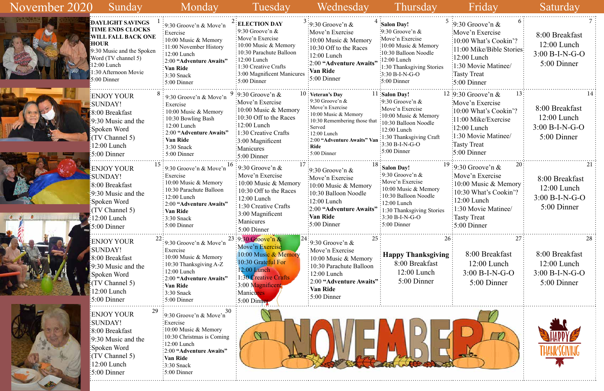| 5        | 6<br>$\frac{1}{2}$ 9:30 Groove'n &<br>Move'n Exercise<br>10:00 What's Cookin'?<br>11:00 Mike/Bible Stories<br>$12:00$ Lunch<br>1:30 Movie Matinee/<br><b>Tasty Treat</b><br>5:00 Dinner | 8:00 Breakfast<br>$12:00$ Lunch<br>$3:00 B-I-N-G-O$<br>5:00 Dinner       |
|----------|-----------------------------------------------------------------------------------------------------------------------------------------------------------------------------------------|--------------------------------------------------------------------------|
|          | 13<br>$12 \div 9.30$ Groove'n &<br>Move'n Exercise<br>:10:00 What's Cookin'?<br>11:00 Mike/Exercise<br>$-12:00$ Lunch<br>1:30 Movie Matinee/<br>Tasty Treat:<br>$\approx 5:00$ Dinner   | 14<br>8:00 Breakfast<br>$12:00$ Lunch<br>$3:00 B-I-N-G-O$<br>5:00 Dinner |
| 19       | 20<br>$\approx$ 9:30 Groove'n &<br>Move'n Exercise<br>10:00 Music & Memory<br>10:30 What's Cookin'?<br>$12:00$ Lunch<br>1:30 Movie Matinee/<br><b>Tasty Treat</b><br>5:00 Dinner        | 21<br>8:00 Breakfast<br>$12:00$ Lunch<br>$3:00 B-I-N-G-O$<br>5:00 Dinner |
| 26<br>ıg | 27<br>8:00 Breakfast<br>$12:00$ Lunch<br>$3:00 B-I-N-G-O$<br>5:00 Dinner                                                                                                                | 28<br>8:00 Breakfast<br>$12:00$ Lunch<br>$3:00 B-I-N-G-O$<br>5:00 Dinner |
|          |                                                                                                                                                                                         |                                                                          |

| November 2020<br>Sunday                                                                                                                                                                              | Monday                                                                                                                                                                                                                                          | Tuesday                                                      | Wednesday                                                                                                                                                                                                                                                                                                                                                                                                                                                                                                                                                                                                                                                                                                                                                                                                                            | Thursday                                                                                                                                                                                   | Friday                                                                                                                                                                                                           | Saturday                                                                                                       |
|------------------------------------------------------------------------------------------------------------------------------------------------------------------------------------------------------|-------------------------------------------------------------------------------------------------------------------------------------------------------------------------------------------------------------------------------------------------|--------------------------------------------------------------|--------------------------------------------------------------------------------------------------------------------------------------------------------------------------------------------------------------------------------------------------------------------------------------------------------------------------------------------------------------------------------------------------------------------------------------------------------------------------------------------------------------------------------------------------------------------------------------------------------------------------------------------------------------------------------------------------------------------------------------------------------------------------------------------------------------------------------------|--------------------------------------------------------------------------------------------------------------------------------------------------------------------------------------------|------------------------------------------------------------------------------------------------------------------------------------------------------------------------------------------------------------------|----------------------------------------------------------------------------------------------------------------|
| <b>DAYLIGHT SAVINGS</b><br>TIME ENDS CLOCKS<br><b>WILL FALL BACK ONE</b><br><b>HOUR</b><br>:9:30 Music and the Spoken<br>:Word (TV channel 5)<br>$12:00$ Lunch<br>:30 Afternoon Movie<br>5:00 Dinner | $\frac{1}{2}$ 9:30 Groove'n & Move'n<br>Exercise<br>10:00 Music & Memory<br>$\frac{1}{2}11:00$ November History<br>$\frac{1}{2}$ 12:00 Lunch<br>:2:00 "Adventure Awaits"<br>Van Ride<br>$\frac{1}{2}$ :30 Snack<br>$:5:00$ Dinner               |                                                              | Move'n Exercise<br>$\frac{10:00 \text{ Music } \& \text{Memory}}$<br>$\frac{10:30}{10:30}$ Off to the Races<br>$:12:00$ Lunch<br>:2:00 "Adventure Awaits"<br>:Van Ride<br>$\frac{1}{2}5:00$ Dinner                                                                                                                                                                                                                                                                                                                                                                                                                                                                                                                                                                                                                                   | $\cdot 9:30$ Groove'n &<br>Move'n Exercise<br>:10:00 Music & Memory<br>:10:30 Balloon Noodle<br>:1:30 Thanksgiving Stories<br>$:5:00$ Dinner                                               | Move'n Exercise<br>:10:00 What's Cookin'?<br>:11:00 Mike/Bible Stories:<br>$\frac{12:00}{2}$ Lunch<br>:1:30 Movie Matinee/<br>Tasty Treat<br>$\frac{1}{2}$ :00 Dinner                                            | 8:00 Breakfast<br>$12:00$ Lunch<br>$3:00 B-I-N-G-O$<br>5:00 Dinner                                             |
| ENJOY YOUR:<br>SUNDAY!<br>8:00 Breakfast<br>$\frac{1}{2}9:30$ Music and the<br>Spoken Word<br>(TV Channel 5)<br>12:00 Lunch<br>$5:00$ Dinner                                                         | 9:30 Groove'n & Move'n<br>Exercise<br>10:00 Music & Memory<br>. 10:30 Bowling Bash<br>12:00 Lunch<br>2:00 "Adventure Awaits"<br>: Van Ride<br>$: 3:30$ Snack<br>$\frac{1}{2}$ 5:00 Dinner                                                       |                                                              | : 9:30 Groove'n $&$<br>Move'n Exercise<br>:10:00 Music & Memory<br>:10:30 Remembering those that<br>Served<br>$\frac{12:00}{2}$ Lunch<br>: 2:00 "Adventure Awaits" Van<br>: Ride<br>$\frac{1}{2}$ 5:00 Dinner                                                                                                                                                                                                                                                                                                                                                                                                                                                                                                                                                                                                                        | Move'n Exercise<br>$\frac{1}{2}10:00$ Music & Memory<br>:10:30 Balloon Noodle<br>$\frac{12:00 \text{ Lunch}}{2}$<br>:1:30 Thanksgiving Craft<br>$:3:30 B-I-N-G-O$<br>$:5:00$ Dinner        | Move'n Exercise<br>:10:00 What's Cookin'?<br>$:11:00$ Mike/Exercise<br>$\frac{12:00}{2}$ Lunch<br>:1:30 Movie Matinee/<br>Tasty Treat<br>$\frac{1}{2}$ :00 Dinner                                                | 8:00 Breakfast<br>$12:00$ Lunch<br>$3:00 B-I-N-G-O$<br>5:00 Dinner                                             |
| <b>ENJOY YOUR</b><br><b>SUNDAY!</b><br>8:00 Breakfast<br>$\frac{1}{2}9:30$ Music and the<br>Spoken Word<br>TV Channel 5)<br>$12:00$ Lunch<br>$\frac{1}{2}$ :5:00 Dinner                              | $\approx 9.30$ Groove'n & Move'n<br>Exercise<br>$\frac{1}{2}10:00$ Music & Memory<br>: 10:30 Parachute Balloon<br>$: 12:00$ Lunch<br>$\frac{1}{2}$ 2:00 "Adventure Awaits"<br>Van Ride<br>$\frac{1}{2}$ 3:30 Snack<br>$\frac{1}{2}$ 5:00 Dinner | 1:30 Creative Crafts<br>Manicures                            | $\frac{1}{2}$ 9:30 Groove'n &<br>:Move'n Exercise<br>$\frac{10:00 \text{ Music } \& \text{Memory}}{2}$<br>:10:30 Balloon Noodle<br>$\frac{12:00}{2}$ Lunch<br>:2:00 "Adventure Awaits"<br>Van Ride:                                                                                                                                                                                                                                                                                                                                                                                                                                                                                                                                                                                                                                  | Salon Day!<br>:9:30 Groove'n $&$<br>Move'n Exercise<br>10:00 Music & Memory<br>:10:30 Balloon Noodle<br>$12:00$ Lunch<br>:1:30 Thanksgiving Stories<br>$:3:30 B-I-N-G-O$<br>$:5:00$ Dinner | :Move'n Exercise<br>$\frac{10:00 \text{ Music } \& \text{Memory}}$<br>$\frac{10:30 \text{ What's Cookin}'}{2}$<br>$:12:00$ Lunch<br>$\frac{1}{2}$ 1:30 Movie Matinee/<br>Tasty Treat<br>$\frac{1}{2}$ :00 Dinner | 8:00 Breakfast<br>$12:00$ Lunch<br>$3:00 B-I-N-G-O$<br>5:00 Dinner                                             |
| <b>ENJOY YOUR</b><br><b>SUNDAY!</b><br>:8:00 Breakfast<br>$\frac{1}{2}9:30$ Music and the<br>Spoken Word<br>TV Channel 5)<br>$2:00$ Lunch<br>$\frac{1}{2}5:00$ Dinner                                | $\frac{1}{2}$ 9:30 Groove'n & Move'n<br>Exercise<br>$10:00$ Music & Memory<br>$\frac{1}{2}$ 10:30 Thanksgiving A-Z<br>$: 12:00$ Lunch<br>2:00 "Adventure Awaits"<br>Van Ride<br>$:3:30$ Snack<br>$:5:00$ Dinner                                 | 12:00 Lunch<br>:30 Creative Crafts<br>Manicures <sup>:</sup> | $\frac{1}{2}9.30$ Groove'n &<br>: Move'n Exercise<br>:10:00 Music & Memory<br>:10:30 Parachute Balloon<br>$\frac{1}{2}$ 12:00 Lunch<br>Van Ride<br>$\frac{1}{2}$ 5:00 Dinner                                                                                                                                                                                                                                                                                                                                                                                                                                                                                                                                                                                                                                                         | 8:00 Breakfast<br>$12:00$ Lunch<br>5:00 Dinner                                                                                                                                             | 8:00 Breakfast<br>$12:00$ Lunch<br>$3:00 B-I-N-G-O$<br>5:00 Dinner                                                                                                                                               | 8:00 Breakfast<br>$12:00$ Lunch<br>$3:00 B-I-N-G-O$<br>5:00 Dinner                                             |
| <b>ENJOY YOUR</b><br><b>SUNDAY!</b><br>8:00 Breakfast<br>$\frac{1}{2}9:30$ Music and the<br>Spoken Word<br>TV Channel 5)<br>$12:00$ Lunch<br>$\approx 5:00$ Dinner                                   | :Exercise<br>10:00 Music & Memory<br>$\frac{1}{2}10:30$ Christmas is Coming<br>$\frac{1}{2}$ :00 Lunch<br>:2:00 "Adventure Awaits"<br>Van Ride<br>$\frac{1}{2}$ :30 Snack<br>$:5:00$ Dinner                                                     |                                                              |                                                                                                                                                                                                                                                                                                                                                                                                                                                                                                                                                                                                                                                                                                                                                                                                                                      |                                                                                                                                                                                            |                                                                                                                                                                                                                  |                                                                                                                |
|                                                                                                                                                                                                      |                                                                                                                                                                                                                                                 | $\frac{30}{10}$<br>9.30 Groove'n & Move'n                    | <b>ELECTION DAY</b><br>$\frac{1}{2}9.30$ Groove'n &<br>:Move'n Exercise<br>:10:00 Music & Memory<br>10:30 Parachute Balloon<br>$\frac{1}{2}$ 12:00 Lunch<br>:1:30 Creative Crafts<br>:3:00 Magnificent Manicures<br>$\frac{1}{2}$ :5:00 Dinner<br>9:30 Groove'n $&$<br>Move'n Exercise<br>:10:00 Music & Memory<br>$\frac{1}{2}10:30$ Off to the Races<br>$:12:00$ Lunch<br>$\frac{1}{2}$ :30 Creative Crafts<br>:3:00 Magnificent<br>:Manicures<br>$\frac{1}{2}5:00$ Dinner<br>$\frac{1}{2}$ 9:30 Groove'n &<br>: Move'n Exercise<br>:10:00 Music & Memory<br>:10:30 Off to the Races<br>$\frac{12:00}{2}$ Lunch<br>:3:00 Magnificent<br>$\frac{1}{2}$ 5:00 Dinner<br>23:9:30 Groove'n &<br>Move'n Exercise<br>10:00 Music & Memory<br>$\frac{1}{2}10:30$ Grateful For<br>$\frac{1}{2}3.00$ Magnificent<br>$\frac{1}{2}5:00$ Dinner | $\frac{1}{2}9.30$ Groove'n &<br>$10:$ Veteran's Day<br>$\frac{1}{2}$ :00 Dinner                                                                                                            | $4 \cdot$ Salon Day!<br>$\frac{1}{2}$ :00 Lunch<br>$-3:30 B-I-N-G-O$<br>$11:$ Salon Day!<br>:9:30 Groove'n $&$<br>$\frac{1}{2}$ 2:00 "Adventure Awaits":                                                         | $\frac{1}{2}$ 9:30 Groove'n &<br>$12 \div 9:30$ Groove'n &<br>:9:30 Groove'n $\&$<br><b>Happy Thanksgiving</b> |